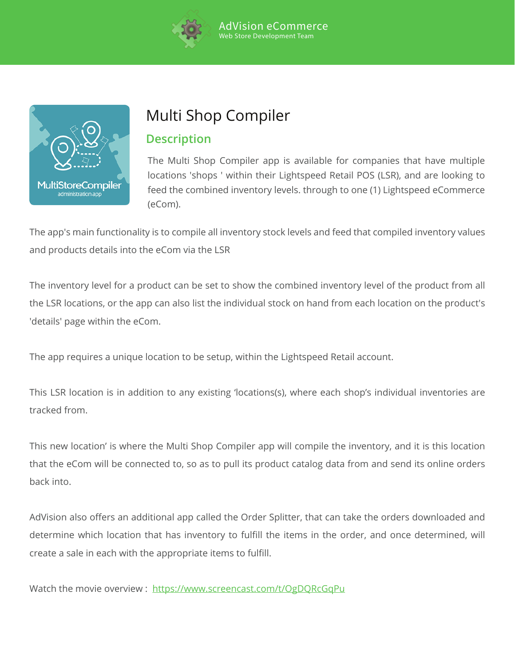



# Multi Shop Compiler

## **Description**

The Multi Shop Compiler app is available for companies that have multiple locations 'shops ' within their Lightspeed Retail POS (LSR), and are looking to feed the combined inventory levels. through to one (1) Lightspeed eCommerce (eCom).

The app's main functionality is to compile all inventory stock levels and feed that compiled inventory values and products details into the eCom via the LSR

The inventory level for a product can be set to show the combined inventory level of the product from all the LSR locations, or the app can also list the individual stock on hand from each location on the product's 'details' page within the eCom.

The app requires a unique location to be setup, within the Lightspeed Retail account.

This LSR location is in addition to any existing 'locations(s), where each shop's individual inventories are tracked from.

This new location' is where the Multi Shop Compiler app will compile the inventory, and it is this location that the eCom will be connected to, so as to pull its product catalog data from and send its online orders back into.

AdVision also offers an additional app called the Order Splitter, that can take the orders downloaded and determine which location that has inventory to fulfill the items in the order, and once determined, will create a sale in each with the appropriate items to fulfill.

Watch the movie overview : https://www.screencast.com/t/OgDQRcGqPu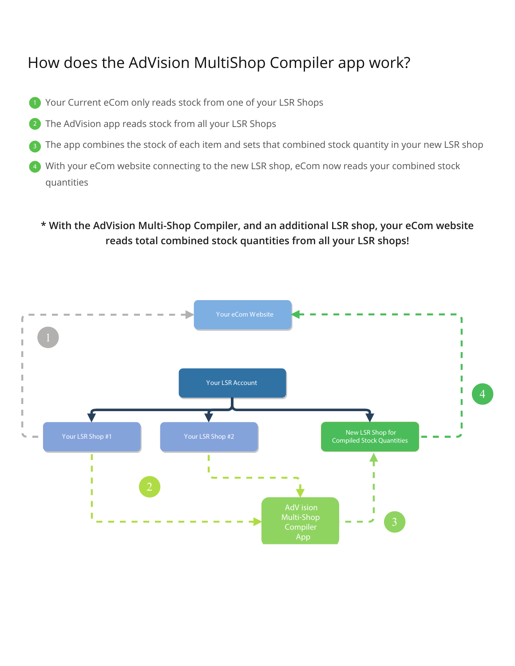# How does the AdVision MultiShop Compiler app work?

- Your Current eCom only reads stock from one of your LSR Shops
- The AdVision app reads stock from all your LSR Shops 2
- The app combines the stock of each item and sets that combined stock quantity in your new LSR shop
- With your eCom website connecting to the new LSR shop, eCom now reads your combined stock quantities 4

## **\* With the AdVision Multi-Shop Compiler, and an additional LSR shop, your eCom website reads total combined stock quantities from all your LSR shops!**

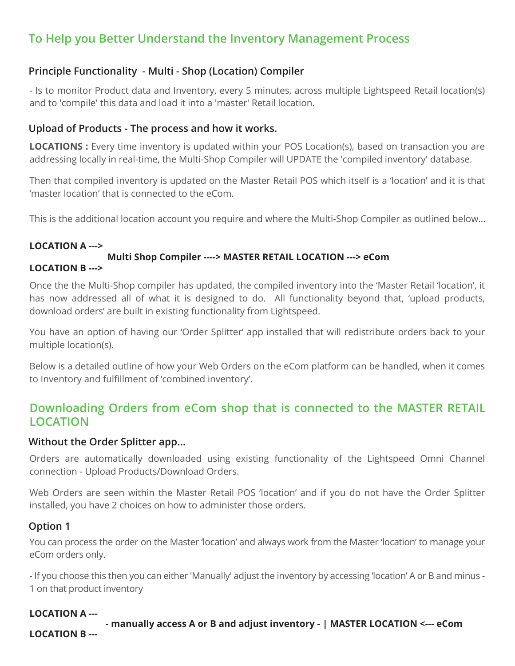# **To Help you Better Understand the Inventory Management Process**

## **Principle Functionality - Multi - Shop (Location) Compiler**

- Is to monitor Product data and Inventory, every 5 minutes, across multiple Lightspeed Retail location(s) and to 'compile' this data and load it into a 'master' Retail location.

### **Upload of Products - The process and how it works.**

**LOCATIONS :** Every time inventory is updated within your POS Location(s), based on transaction you are addressing locally in real-time, the Multi-Shop Compiler will UPDATE the 'compiled inventory' database.

Then that compiled inventory is updated on the Master Retail POS which itself is a 'location' and it is that 'master location' that is connected to the eCom.

This is the additional location account you require and where the Multi-Shop Compiler as outlined below…

## **LOCATION A --->**

#### **Multi Shop Compiler ----> MASTER RETAIL LOCATION ---> eCom LOCATION B --->**

Once the the Multi-Shop compiler has updated, the compiled inventory into the 'Master Retail 'location', it has now addressed all of what it is designed to do. All functionality beyond that, 'upload products, download orders' are built in existing functionality from Lightspeed.

You have an option of having our 'Order Splitter' app installed that will redistribute orders back to your multiple location(s).

Below is a detailed outline of how your Web Orders on the eCom platform can be handled, when it comes to Inventory and fulfillment of 'combined inventory'.

## **Downloading Orders from eCom shop that is connected to the MASTER RETAIL LOCATION**

### **Without the Order Splitter app...**

Orders are automatically downloaded using existing functionality of the Lightspeed Omni Channel connection - Upload Products/Download Orders.

Web Orders are seen within the Master Retail POS 'location' and if you do not have the Order Splitter installed, you have 2 choices on how to administer those orders.

### **Option 1**

You can process the order on the Master 'location' and always work from the Master 'location' to manage your eCom orders only.

- If you choose this then you can either 'Manually' adjust the inventory by accessing 'location' A or B and minus - 1 on that product inventory

### **LOCATION A ---**

 **- manually access A or B and adjust inventory - | MASTER LOCATION <--- eCom LOCATION B ---**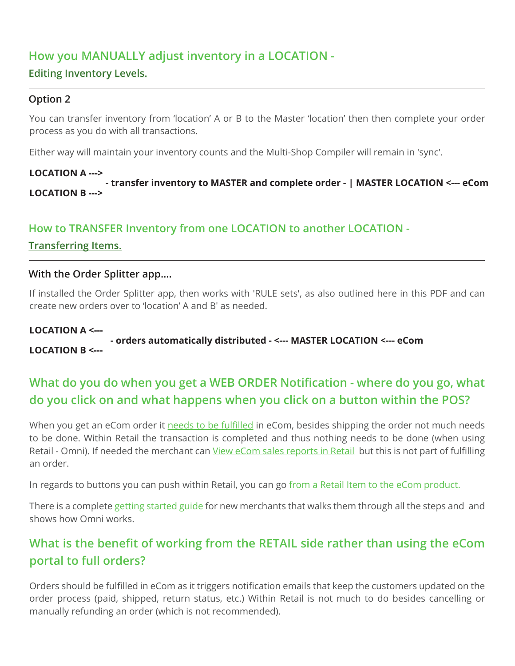## **How you MANUALLY adjust inventory in a LOCATION -**

## **Editing Inventory Levels.**

## **Option 2**

You can transfer inventory from 'location' A or B to the Master 'location' then then complete your order process as you do with all transactions.

Either way will maintain your inventory counts and the Multi-Shop Compiler will remain in 'sync'.

#### **LOCATION A ---> - transfer inventory to MASTER and complete order - | MASTER LOCATION <--- eCom LOCATION B --->**

## **How to TRANSFER Inventory from one LOCATION to another LOCATION -**

**Transferring Items.** 

### **With the Order Splitter app….**

If installed the Order Splitter app, then works with 'RULE sets', as also outlined here in this PDF and can create new orders over to 'location' A and B' as needed.

#### **LOCATION A <--- - orders automatically distributed - <--- MASTER LOCATION <--- eCom LOCATION B <---**

# **What do you do when you get a WEB ORDER Notification - where do you go, what do you click on and what happens when you click on a button within the POS?**

When you get an eCom order it <u>needs to be fulfilled</u> in eCom, besides shipping the order not much needs to be done. Within Retail the transaction is completed and thus nothing needs to be done (when using Retail - Omni). If needed the merchant can <u>View eCom sales reports in Retail</u> but this is not part of fulfilling an order.

In regards to buttons you can push within Retail, you can go<u> from a Retail Item to the eCom product.</u>

There is a complete <u>getting started guide</u> for new merchants that walks them through all the steps and and <sub></sub> shows how Omni works.

# **What is the benefit of working from the RETAIL side rather than using the eCom portal to full orders?**

Orders should be fulfilled in eCom as it triggers notification emails that keep the customers updated on the order process (paid, shipped, return status, etc.) Within Retail is not much to do besides cancelling or manually refunding an order (which is not recommended).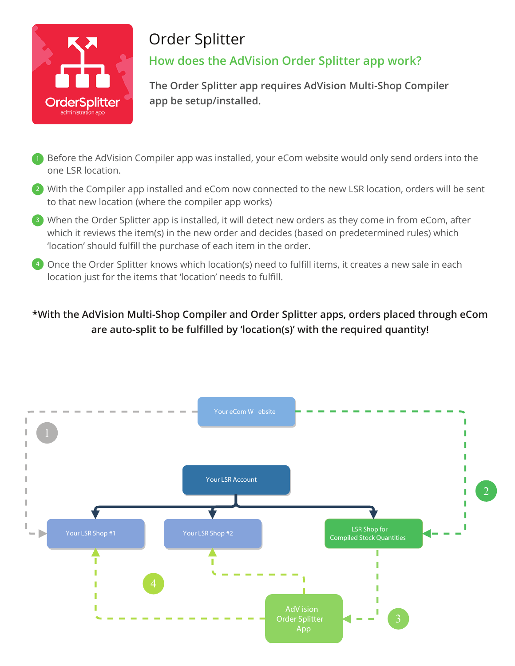

# Order Splitter **How does the AdVision Order Splitter app work?**

**The Order Splitter app requires AdVision Multi-Shop Compiler app be setup/installed.** 

- **1** Before the AdVision Compiler app was installed, your eCom website would only send orders into the one LSR location.
- 2) With the Compiler app installed and eCom now connected to the new LSR location, orders will be sent to that new location (where the compiler app works)
- <sup>3</sup> When the Order Splitter app is installed, it will detect new orders as they come in from eCom, after which it reviews the item(s) in the new order and decides (based on predetermined rules) which 'location' should fulfill the purchase of each item in the order.
- <sup>4</sup> Once the Order Splitter knows which location(s) need to fulfill items, it creates a new sale in each location just for the items that 'location' needs to fulfill.

# **\*With the AdVision Multi-Shop Compiler and Order Splitter apps, orders placed through eCom are auto-split to be fulfilled by 'location(s)' with the required quantity!**

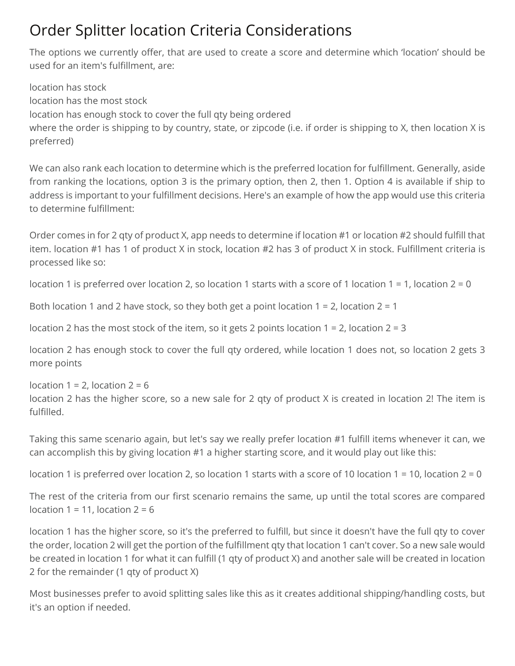# Order Splitter location Criteria Considerations

The options we currently offer, that are used to create a score and determine which 'location' should be used for an item's fulfillment, are:

location has stock location has the most stock location has enough stock to cover the full qty being ordered where the order is shipping to by country, state, or zipcode (i.e. if order is shipping to X, then location X is preferred)

We can also rank each location to determine which is the preferred location for fulfillment. Generally, aside from ranking the locations, option 3 is the primary option, then 2, then 1. Option 4 is available if ship to address is important to your fulfillment decisions. Here's an example of how the app would use this criteria to determine fulfillment:

Order comes in for 2 qty of product X, app needs to determine if location #1 or location #2 should fulfill that item. location #1 has 1 of product X in stock, location #2 has 3 of product X in stock. Fulfillment criteria is processed like so:

location 1 is preferred over location 2, so location 1 starts with a score of 1 location 1 = 1, location 2 = 0

Both location 1 and 2 have stock, so they both get a point location 1 = 2, location 2 = 1

location 2 has the most stock of the item, so it gets 2 points location 1 = 2, location 2 = 3

location 2 has enough stock to cover the full qty ordered, while location 1 does not, so location 2 gets 3 more points

location  $1 = 2$ , location  $2 = 6$ location 2 has the higher score, so a new sale for 2 qty of product X is created in location 2! The item is fulfilled.

Taking this same scenario again, but let's say we really prefer location #1 fulfill items whenever it can, we can accomplish this by giving location #1 a higher starting score, and it would play out like this:

location 1 is preferred over location 2, so location 1 starts with a score of 10 location 1 = 10, location 2 = 0

The rest of the criteria from our first scenario remains the same, up until the total scores are compared location  $1 = 11$ , location  $2 = 6$ 

location 1 has the higher score, so it's the preferred to fulfill, but since it doesn't have the full qty to cover the order, location 2 will get the portion of the fulfillment qty that location 1 can't cover. So a new sale would be created in location 1 for what it can fulfill (1 qty of product X) and another sale will be created in location 2 for the remainder (1 qty of product X)

Most businesses prefer to avoid splitting sales like this as it creates additional shipping/handling costs, but it's an option if needed.